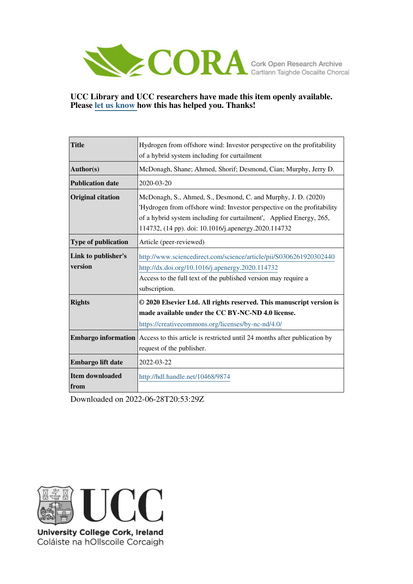

### **UCC Library and UCC researchers have made this item openly available. Please [let us know h](https://libguides.ucc.ie/openaccess/impact?suffix=9874&title=Hydrogen from offshore wind: Investor perspective on the profitability of a hybrid system including for curtailment)ow this has helped you. Thanks!**

| <b>Title</b>                          | Hydrogen from offshore wind: Investor perspective on the profitability                                                                                                                                                                                                  |  |  |  |  |
|---------------------------------------|-------------------------------------------------------------------------------------------------------------------------------------------------------------------------------------------------------------------------------------------------------------------------|--|--|--|--|
|                                       | of a hybrid system including for curtailment                                                                                                                                                                                                                            |  |  |  |  |
| $\mathbf{Author(s)}$                  | McDonagh, Shane; Ahmed, Shorif; Desmond, Cian; Murphy, Jerry D.                                                                                                                                                                                                         |  |  |  |  |
| <b>Publication date</b>               | 2020-03-20                                                                                                                                                                                                                                                              |  |  |  |  |
| <b>Original citation</b>              | McDonagh, S., Ahmed, S., Desmond, C. and Murphy, J. D. (2020)<br>'Hydrogen from offshore wind: Investor perspective on the profitability<br>of a hybrid system including for curtailment', Applied Energy, 265,<br>114732, (14 pp). doi: 10.1016/j.apenergy.2020.114732 |  |  |  |  |
| <b>Type of publication</b>            | Article (peer-reviewed)                                                                                                                                                                                                                                                 |  |  |  |  |
| Link to publisher's<br><b>version</b> | http://www.sciencedirect.com/science/article/pii/S0306261920302440<br>http://dx.doi.org/10.1016/j.apenergy.2020.114732<br>Access to the full text of the published version may require a<br>subscription.                                                               |  |  |  |  |
| <b>Rights</b>                         | © 2020 Elsevier Ltd. All rights reserved. This manuscript version is<br>made available under the CC BY-NC-ND 4.0 license.<br>https://creativecommons.org/licenses/by-nc-nd/4.0/                                                                                         |  |  |  |  |
|                                       | <b>Embargo information</b> Access to this article is restricted until 24 months after publication by<br>request of the publisher.                                                                                                                                       |  |  |  |  |
| <b>Embargo lift date</b>              | 2022-03-22                                                                                                                                                                                                                                                              |  |  |  |  |
| <b>Item downloaded</b><br>from        | http://hdl.handle.net/10468/9874                                                                                                                                                                                                                                        |  |  |  |  |

Downloaded on 2022-06-28T20:53:29Z



University College Cork, Ireland Coláiste na hOllscoile Corcaigh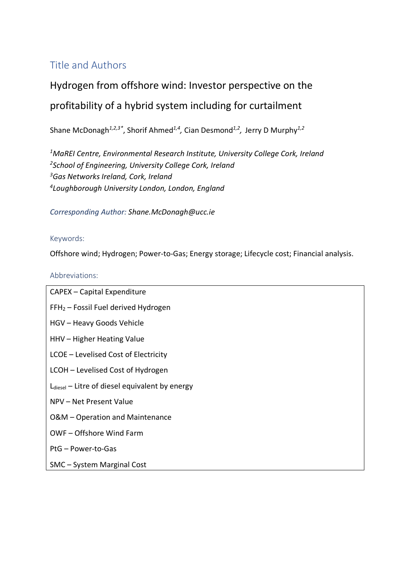# Title and Authors

# Hydrogen from offshore wind: Investor perspective on the profitability of a hybrid system including for curtailment

Shane McDonagh*1,2,3\**, Shorif Ahmed*1,4,* Cian Desmond*1,2,* Jerry D Murphy*1,2*

 *MaREI Centre, Environmental Research Institute, University College Cork, Ireland School of Engineering, University College Cork, Ireland Gas Networks Ireland, Cork, Ireland Loughborough University London, London, England*

*Corresponding Author: Shane.McDonagh@ucc.ie* 

### Keywords:

Offshore wind; Hydrogen; Power-to-Gas; Energy storage; Lifecycle cost; Financial analysis.

#### Abbreviations:

| CAPEX - Capital Expenditure                                |  |  |
|------------------------------------------------------------|--|--|
| FFH <sub>2</sub> - Fossil Fuel derived Hydrogen            |  |  |
| HGV - Heavy Goods Vehicle                                  |  |  |
| HHV – Higher Heating Value                                 |  |  |
| LCOE - Levelised Cost of Electricity                       |  |  |
| LCOH – Levelised Cost of Hydrogen                          |  |  |
| $L_{\text{diesel}}$ – Litre of diesel equivalent by energy |  |  |
| NPV – Net Present Value                                    |  |  |
| O&M - Operation and Maintenance                            |  |  |
| OWF-Offshore Wind Farm                                     |  |  |
| PtG - Power-to-Gas                                         |  |  |
| SMC - System Marginal Cost                                 |  |  |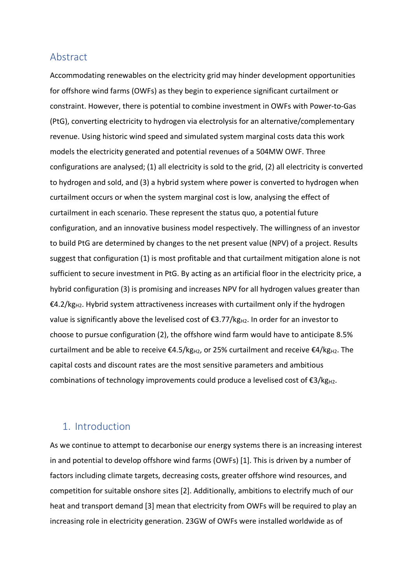# Abstract

Accommodating renewables on the electricity grid may hinder development opportunities for offshore wind farms (OWFs) as they begin to experience significant curtailment or constraint. However, there is potential to combine investment in OWFs with Power-to-Gas (PtG), converting electricity to hydrogen via electrolysis for an alternative/complementary revenue. Using historic wind speed and simulated system marginal costs data this work models the electricity generated and potential revenues of a 504MW OWF. Three configurations are analysed; (1) all electricity is sold to the grid, (2) all electricity is converted to hydrogen and sold, and (3) a hybrid system where power is converted to hydrogen when curtailment occurs or when the system marginal cost is low, analysing the effect of curtailment in each scenario. These represent the status quo, a potential future configuration, and an innovative business model respectively. The willingness of an investor to build PtG are determined by changes to the net present value (NPV) of a project. Results suggest that configuration (1) is most profitable and that curtailment mitigation alone is not sufficient to secure investment in PtG. By acting as an artificial floor in the electricity price, a hybrid configuration (3) is promising and increases NPV for all hydrogen values greater than  $\epsilon$ 4.2/kg<sub>H2</sub>. Hybrid system attractiveness increases with curtailment only if the hydrogen value is significantly above the levelised cost of  $\epsilon$ 3.77/kg<sub>H2</sub>. In order for an investor to choose to pursue configuration (2), the offshore wind farm would have to anticipate 8.5% curtailment and be able to receive  $\epsilon$ 4.5/kg<sub>H2</sub>, or 25% curtailment and receive  $\epsilon$ 4/kg<sub>H2</sub>. The capital costs and discount rates are the most sensitive parameters and ambitious combinations of technology improvements could produce a levelised cost of  $\epsilon$ 3/kg<sub>H2</sub>.

# 1. Introduction

As we continue to attempt to decarbonise our energy systems there is an increasing interest in and potential to develop offshore wind farms (OWFs) [1]. This is driven by a number of factors including climate targets, decreasing costs, greater offshore wind resources, and competition for suitable onshore sites [2]. Additionally, ambitions to electrify much of our heat and transport demand [3] mean that electricity from OWFs will be required to play an increasing role in electricity generation. 23GW of OWFs were installed worldwide as of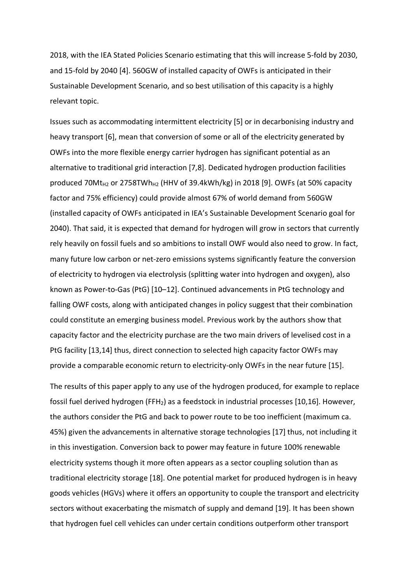2018, with the IEA Stated Policies Scenario estimating that this will increase 5-fold by 2030, and 15-fold by 2040 [4]. 560GW of installed capacity of OWFs is anticipated in their Sustainable Development Scenario, and so best utilisation of this capacity is a highly relevant topic.

Issues such as accommodating intermittent electricity [5] or in decarbonising industry and heavy transport [6], mean that conversion of some or all of the electricity generated by OWFs into the more flexible energy carrier hydrogen has significant potential as an alternative to traditional grid interaction [7,8]. Dedicated hydrogen production facilities produced 70Mt<sub>H2</sub> or 2758TWh<sub>H2</sub> (HHV of 39.4kWh/kg) in 2018 [9]. OWFs (at 50% capacity factor and 75% efficiency) could provide almost 67% of world demand from 560GW (installed capacity of OWFs anticipated in IEA's Sustainable Development Scenario goal for 2040). That said, it is expected that demand for hydrogen will grow in sectors that currently rely heavily on fossil fuels and so ambitions to install OWF would also need to grow. In fact, many future low carbon or net-zero emissions systems significantly feature the conversion of electricity to hydrogen via electrolysis (splitting water into hydrogen and oxygen), also known as Power-to-Gas (PtG) [10–12]. Continued advancements in PtG technology and falling OWF costs, along with anticipated changes in policy suggest that their combination could constitute an emerging business model. Previous work by the authors show that capacity factor and the electricity purchase are the two main drivers of levelised cost in a PtG facility [13,14] thus, direct connection to selected high capacity factor OWFs may provide a comparable economic return to electricity-only OWFs in the near future [15].

The results of this paper apply to any use of the hydrogen produced, for example to replace fossil fuel derived hydrogen (FFH<sub>2</sub>) as a feedstock in industrial processes [10,16]. However, the authors consider the PtG and back to power route to be too inefficient (maximum ca. 45%) given the advancements in alternative storage technologies [17] thus, not including it in this investigation. Conversion back to power may feature in future 100% renewable electricity systems though it more often appears as a sector coupling solution than as traditional electricity storage [18]. One potential market for produced hydrogen is in heavy goods vehicles (HGVs) where it offers an opportunity to couple the transport and electricity sectors without exacerbating the mismatch of supply and demand [19]. It has been shown that hydrogen fuel cell vehicles can under certain conditions outperform other transport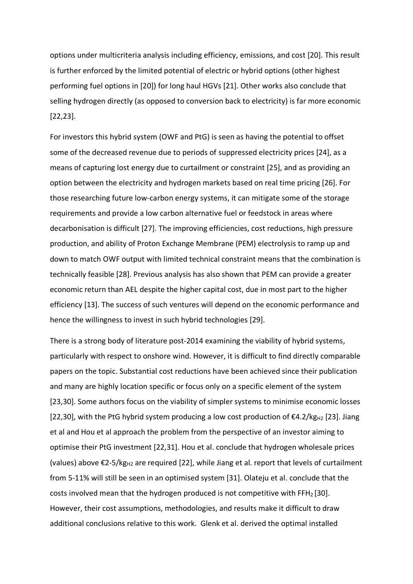options under multicriteria analysis including efficiency, emissions, and cost [20]. This result is further enforced by the limited potential of electric or hybrid options (other highest performing fuel options in [20]) for long haul HGVs [21]. Other works also conclude that selling hydrogen directly (as opposed to conversion back to electricity) is far more economic [22,23].

For investors this hybrid system (OWF and PtG) is seen as having the potential to offset some of the decreased revenue due to periods of suppressed electricity prices [24], as a means of capturing lost energy due to curtailment or constraint [25], and as providing an option between the electricity and hydrogen markets based on real time pricing [26]. For those researching future low-carbon energy systems, it can mitigate some of the storage requirements and provide a low carbon alternative fuel or feedstock in areas where decarbonisation is difficult [27]. The improving efficiencies, cost reductions, high pressure production, and ability of Proton Exchange Membrane (PEM) electrolysis to ramp up and down to match OWF output with limited technical constraint means that the combination is technically feasible [28]. Previous analysis has also shown that PEM can provide a greater economic return than AEL despite the higher capital cost, due in most part to the higher efficiency [13]. The success of such ventures will depend on the economic performance and hence the willingness to invest in such hybrid technologies [29].

There is a strong body of literature post-2014 examining the viability of hybrid systems, particularly with respect to onshore wind. However, it is difficult to find directly comparable papers on the topic. Substantial cost reductions have been achieved since their publication and many are highly location specific or focus only on a specific element of the system [23,30]. Some authors focus on the viability of simpler systems to minimise economic losses [22,30], with the PtG hybrid system producing a low cost production of  $\epsilon$ 4.2/kg<sub>H2</sub> [23]. Jiang et al and Hou et al approach the problem from the perspective of an investor aiming to optimise their PtG investment [22,31]. Hou et al. conclude that hydrogen wholesale prices (values) above  $\epsilon$ 2-5/kg<sub>H2</sub> are required [22], while Jiang et al. report that levels of curtailment from 5-11% will still be seen in an optimised system [31]. Olateju et al. conclude that the costs involved mean that the hydrogen produced is not competitive with FFH<sub>2</sub> [30]. However, their cost assumptions, methodologies, and results make it difficult to draw additional conclusions relative to this work. Glenk et al. derived the optimal installed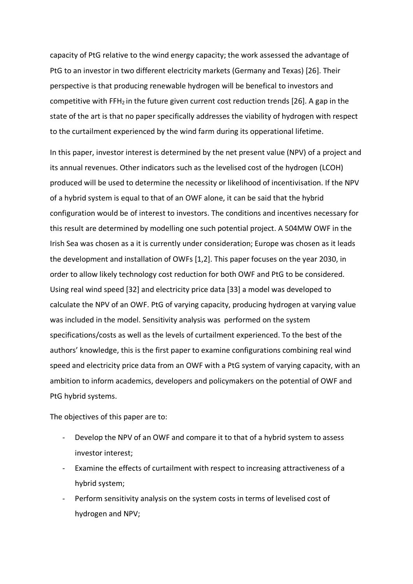capacity of PtG relative to the wind energy capacity; the work assessed the advantage of PtG to an investor in two different electricity markets (Germany and Texas) [26]. Their perspective is that producing renewable hydrogen will be benefical to investors and competitive with FFH<sub>2</sub> in the future given current cost reduction trends [26]. A gap in the state of the art is that no paper specifically addresses the viability of hydrogen with respect to the curtailment experienced by the wind farm during its opperational lifetime.

In this paper, investor interest is determined by the net present value (NPV) of a project and its annual revenues. Other indicators such as the levelised cost of the hydrogen (LCOH) produced will be used to determine the necessity or likelihood of incentivisation. If the NPV of a hybrid system is equal to that of an OWF alone, it can be said that the hybrid configuration would be of interest to investors. The conditions and incentives necessary for this result are determined by modelling one such potential project. A 504MW OWF in the Irish Sea was chosen as a it is currently under consideration; Europe was chosen as it leads the development and installation of OWFs [1,2]. This paper focuses on the year 2030, in order to allow likely technology cost reduction for both OWF and PtG to be considered. Using real wind speed [32] and electricity price data [33] a model was developed to calculate the NPV of an OWF. PtG of varying capacity, producing hydrogen at varying value was included in the model. Sensitivity analysis was performed on the system specifications/costs as well as the levels of curtailment experienced. To the best of the authors' knowledge, this is the first paper to examine configurations combining real wind speed and electricity price data from an OWF with a PtG system of varying capacity, with an ambition to inform academics, developers and policymakers on the potential of OWF and PtG hybrid systems.

The objectives of this paper are to:

- Develop the NPV of an OWF and compare it to that of a hybrid system to assess investor interest;
- Examine the effects of curtailment with respect to increasing attractiveness of a hybrid system;
- Perform sensitivity analysis on the system costs in terms of levelised cost of hydrogen and NPV;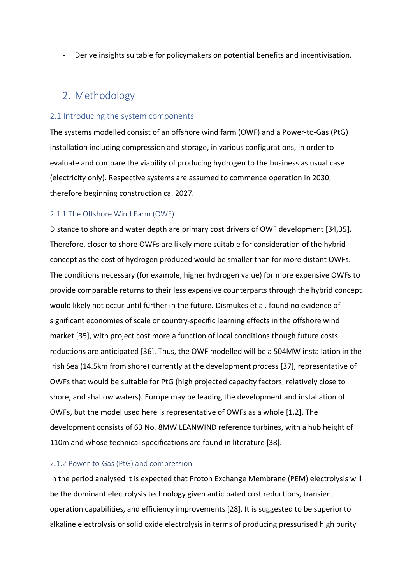- Derive insights suitable for policymakers on potential benefits and incentivisation.

# 2. Methodology

### 2.1 Introducing the system components

The systems modelled consist of an offshore wind farm (OWF) and a Power-to-Gas (PtG) installation including compression and storage, in various configurations, in order to evaluate and compare the viability of producing hydrogen to the business as usual case (electricity only). Respective systems are assumed to commence operation in 2030, therefore beginning construction ca. 2027.

### 2.1.1 The Offshore Wind Farm (OWF)

Distance to shore and water depth are primary cost drivers of OWF development [34,35]. Therefore, closer to shore OWFs are likely more suitable for consideration of the hybrid concept as the cost of hydrogen produced would be smaller than for more distant OWFs. The conditions necessary (for example, higher hydrogen value) for more expensive OWFs to provide comparable returns to their less expensive counterparts through the hybrid concept would likely not occur until further in the future. Dismukes et al. found no evidence of significant economies of scale or country-specific learning effects in the offshore wind market [35], with project cost more a function of local conditions though future costs reductions are anticipated [36]. Thus, the OWF modelled will be a 504MW installation in the Irish Sea (14.5km from shore) currently at the development process [37], representative of OWFs that would be suitable for PtG (high projected capacity factors, relatively close to shore, and shallow waters). Europe may be leading the development and installation of OWFs, but the model used here is representative of OWFs as a whole [1,2]. The development consists of 63 No. 8MW LEANWIND reference turbines, with a hub height of 110m and whose technical specifications are found in literature [38].

#### 2.1.2 Power-to-Gas (PtG) and compression

In the period analysed it is expected that Proton Exchange Membrane (PEM) electrolysis will be the dominant electrolysis technology given anticipated cost reductions, transient operation capabilities, and efficiency improvements [28]. It is suggested to be superior to alkaline electrolysis or solid oxide electrolysis in terms of producing pressurised high purity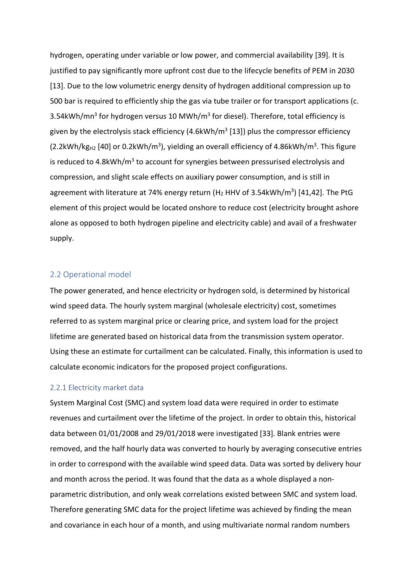hydrogen, operating under variable or low power, and commercial availability [39]. It is justified to pay significantly more upfront cost due to the lifecycle benefits of PEM in 2030 [13]. Due to the low volumetric energy density of hydrogen additional compression up to 500 bar is required to efficiently ship the gas via tube trailer or for transport applications (c. 3.54kWh/mn<sup>3</sup> for hydrogen versus 10 MWh/m<sup>3</sup> for diesel). Therefore, total efficiency is given by the electrolysis stack efficiency (4.6kWh/m<sup>3</sup> [13]) plus the compressor efficiency (2.2kWh/kg<sub>H2</sub> [40] or 0.2kWh/m<sup>3</sup>), yielding an overall efficiency of 4.86kWh/m<sup>3</sup>. This figure is reduced to 4.8kWh/ $m<sup>3</sup>$  to account for synergies between pressurised electrolysis and compression, and slight scale effects on auxiliary power consumption, and is still in agreement with literature at 74% energy return ( $H_2$  HHV of 3.54kWh/m<sup>3</sup>) [41,42]. The PtG element of this project would be located onshore to reduce cost (electricity brought ashore alone as opposed to both hydrogen pipeline and electricity cable) and avail of a freshwater supply.

#### 2.2 Operational model

The power generated, and hence electricity or hydrogen sold, is determined by historical wind speed data. The hourly system marginal (wholesale electricity) cost, sometimes referred to as system marginal price or clearing price, and system load for the project lifetime are generated based on historical data from the transmission system operator. Using these an estimate for curtailment can be calculated. Finally, this information is used to calculate economic indicators for the proposed project configurations.

#### 2.2.1 Electricity market data

System Marginal Cost (SMC) and system load data were required in order to estimate revenues and curtailment over the lifetime of the project. In order to obtain this, historical data between 01/01/2008 and 29/01/2018 were investigated [33]. Blank entries were removed, and the half hourly data was converted to hourly by averaging consecutive entries in order to correspond with the available wind speed data. Data was sorted by delivery hour and month across the period. It was found that the data as a whole displayed a nonparametric distribution, and only weak correlations existed between SMC and system load. Therefore generating SMC data for the project lifetime was achieved by finding the mean and covariance in each hour of a month, and using multivariate normal random numbers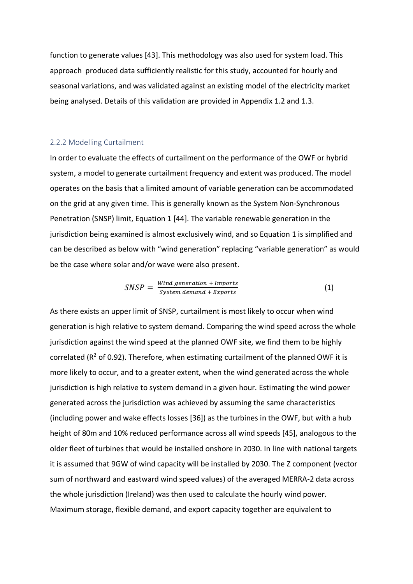function to generate values [43]. This methodology was also used for system load. This approach produced data sufficiently realistic for this study, accounted for hourly and seasonal variations, and was validated against an existing model of the electricity market being analysed. Details of this validation are provided in Appendix 1.2 and 1.3.

#### 2.2.2 Modelling Curtailment

In order to evaluate the effects of curtailment on the performance of the OWF or hybrid system, a model to generate curtailment frequency and extent was produced. The model operates on the basis that a limited amount of variable generation can be accommodated on the grid at any given time. This is generally known as the System Non-Synchronous Penetration (SNSP) limit, Equation 1 [44]. The variable renewable generation in the jurisdiction being examined is almost exclusively wind, and so Equation 1 is simplified and can be described as below with "wind generation" replacing "variable generation" as would be the case where solar and/or wave were also present.

$$
SNSP = \frac{Wind \, generation + Imports}{System \, demand + Exports}
$$
 (1)

As there exists an upper limit of SNSP, curtailment is most likely to occur when wind generation is high relative to system demand. Comparing the wind speed across the whole jurisdiction against the wind speed at the planned OWF site, we find them to be highly correlated ( $R^2$  of 0.92). Therefore, when estimating curtailment of the planned OWF it is more likely to occur, and to a greater extent, when the wind generated across the whole jurisdiction is high relative to system demand in a given hour. Estimating the wind power generated across the jurisdiction was achieved by assuming the same characteristics (including power and wake effects losses [36]) as the turbines in the OWF, but with a hub height of 80m and 10% reduced performance across all wind speeds [45], analogous to the older fleet of turbines that would be installed onshore in 2030. In line with national targets it is assumed that 9GW of wind capacity will be installed by 2030. The Z component (vector sum of northward and eastward wind speed values) of the averaged MERRA-2 data across the whole jurisdiction (Ireland) was then used to calculate the hourly wind power. Maximum storage, flexible demand, and export capacity together are equivalent to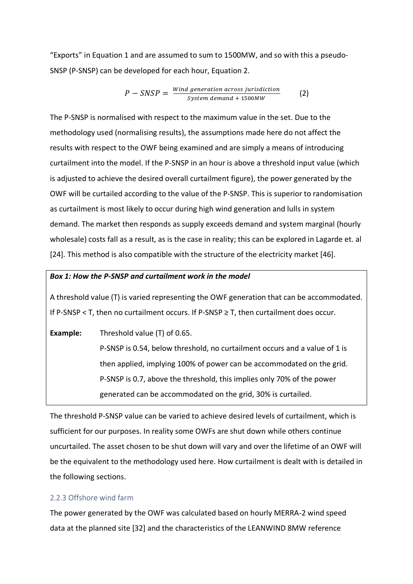"Exports" in Equation 1 and are assumed to sum to 1500MW, and so with this a pseudo-SNSP (P-SNSP) can be developed for each hour, Equation 2.

$$
P-SNSP = \frac{Wind\,\, generation\,\,across\,\,inification}{System\,\,dem\,\,anad\,\,+1500MW} \tag{2}
$$

The P-SNSP is normalised with respect to the maximum value in the set. Due to the methodology used (normalising results), the assumptions made here do not affect the results with respect to the OWF being examined and are simply a means of introducing curtailment into the model. If the P-SNSP in an hour is above a threshold input value (which is adjusted to achieve the desired overall curtailment figure), the power generated by the OWF will be curtailed according to the value of the P-SNSP. This is superior to randomisation as curtailment is most likely to occur during high wind generation and lulls in system demand. The market then responds as supply exceeds demand and system marginal (hourly wholesale) costs fall as a result, as is the case in reality; this can be explored in Lagarde et. al [24]. This method is also compatible with the structure of the electricity market [46].

#### *Box 1: How the P-SNSP and curtailment work in the model*

A threshold value (T) is varied representing the OWF generation that can be accommodated. If P-SNSP < T, then no curtailment occurs. If P-SNSP  $\geq$  T, then curtailment does occur.

**Example:** Threshold value (T) of 0.65.

P-SNSP is 0.54, below threshold, no curtailment occurs and a value of 1 is then applied, implying 100% of power can be accommodated on the grid. P-SNSP is 0.7, above the threshold, this implies only 70% of the power generated can be accommodated on the grid, 30% is curtailed.

The threshold P-SNSP value can be varied to achieve desired levels of curtailment, which is sufficient for our purposes. In reality some OWFs are shut down while others continue uncurtailed. The asset chosen to be shut down will vary and over the lifetime of an OWF will be the equivalent to the methodology used here. How curtailment is dealt with is detailed in the following sections.

#### 2.2.3 Offshore wind farm

The power generated by the OWF was calculated based on hourly MERRA-2 wind speed data at the planned site [32] and the characteristics of the LEANWIND 8MW reference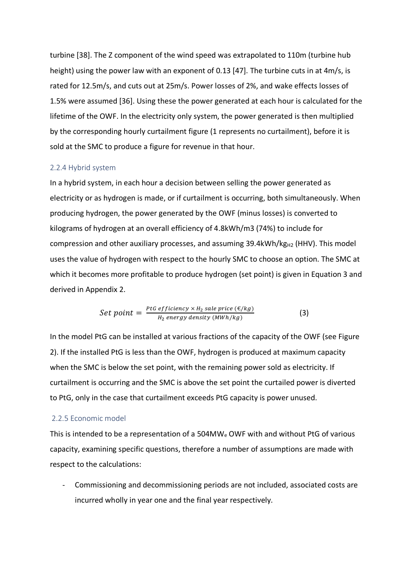turbine [38]. The Z component of the wind speed was extrapolated to 110m (turbine hub height) using the power law with an exponent of 0.13 [47]. The turbine cuts in at 4m/s, is rated for 12.5m/s, and cuts out at 25m/s. Power losses of 2%, and wake effects losses of 1.5% were assumed [36]. Using these the power generated at each hour is calculated for the lifetime of the OWF. In the electricity only system, the power generated is then multiplied by the corresponding hourly curtailment figure (1 represents no curtailment), before it is sold at the SMC to produce a figure for revenue in that hour.

#### 2.2.4 Hybrid system

In a hybrid system, in each hour a decision between selling the power generated as electricity or as hydrogen is made, or if curtailment is occurring, both simultaneously. When producing hydrogen, the power generated by the OWF (minus losses) is converted to kilograms of hydrogen at an overall efficiency of 4.8kWh/m3 (74%) to include for compression and other auxiliary processes, and assuming  $39.4kWh/kg_{H2}$  (HHV). This model uses the value of hydrogen with respect to the hourly SMC to choose an option. The SMC at which it becomes more profitable to produce hydrogen (set point) is given in Equation 3 and derived in Appendix 2.

Set point = 
$$
\frac{P tG \text{ efficiency} \times H_2 \text{ sale price} (\text{\textsterling}/kg)}{H_2 \text{ energy density} (MWh/kg)}
$$
 (3)

In the model PtG can be installed at various fractions of the capacity of the OWF (see Figure 2). If the installed PtG is less than the OWF, hydrogen is produced at maximum capacity when the SMC is below the set point, with the remaining power sold as electricity. If curtailment is occurring and the SMC is above the set point the curtailed power is diverted to PtG, only in the case that curtailment exceeds PtG capacity is power unused.

#### 2.2.5 Economic model

This is intended to be a representation of a 504MWe OWF with and without PtG of various capacity, examining specific questions, therefore a number of assumptions are made with respect to the calculations:

- Commissioning and decommissioning periods are not included, associated costs are incurred wholly in year one and the final year respectively.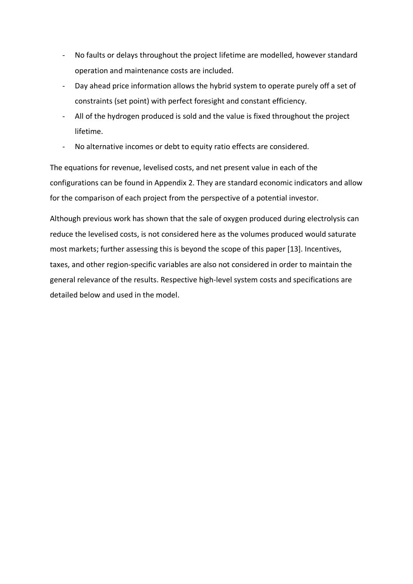- No faults or delays throughout the project lifetime are modelled, however standard operation and maintenance costs are included.
- Day ahead price information allows the hybrid system to operate purely off a set of constraints (set point) with perfect foresight and constant efficiency.
- All of the hydrogen produced is sold and the value is fixed throughout the project lifetime.
- No alternative incomes or debt to equity ratio effects are considered.

The equations for revenue, levelised costs, and net present value in each of the configurations can be found in Appendix 2. They are standard economic indicators and allow for the comparison of each project from the perspective of a potential investor.

Although previous work has shown that the sale of oxygen produced during electrolysis can reduce the levelised costs, is not considered here as the volumes produced would saturate most markets; further assessing this is beyond the scope of this paper [13]. Incentives, taxes, and other region-specific variables are also not considered in order to maintain the general relevance of the results. Respective high-level system costs and specifications are detailed below and used in the model.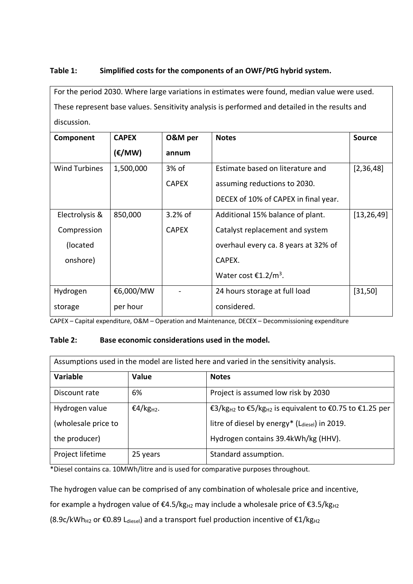# **Table 1: Simplified costs for the components of an OWF/PtG hybrid system.**

For the period 2030. Where large variations in estimates were found, median value were used. These represent base values. Sensitivity analysis is performed and detailed in the results and discussion.

| Component            | <b>CAPEX</b>    | O&M per      | <b>Notes</b>                               | <b>Source</b> |
|----------------------|-----------------|--------------|--------------------------------------------|---------------|
|                      | $(\epsilon/MW)$ | annum        |                                            |               |
| <b>Wind Turbines</b> | 1,500,000       | 3% of        | Estimate based on literature and           | [2,36,48]     |
|                      |                 | <b>CAPEX</b> | assuming reductions to 2030.               |               |
|                      |                 |              | DECEX of 10% of CAPEX in final year.       |               |
| Electrolysis &       | 850,000         | $3.2%$ of    | Additional 15% balance of plant.           | [13, 26, 49]  |
| Compression          |                 | <b>CAPEX</b> | Catalyst replacement and system            |               |
| (located             |                 |              | overhaul every ca. 8 years at 32% of       |               |
| onshore)             |                 |              | CAPEX.                                     |               |
|                      |                 |              | Water cost $\epsilon$ 1.2/m <sup>3</sup> . |               |
| Hydrogen             | €6,000/MW       |              | 24 hours storage at full load              | [31, 50]      |
| storage              | per hour        |              | considered.                                |               |

CAPEX – Capital expenditure, O&M – Operation and Maintenance, DECEX – Decommissioning expenditure

### **Table 2: Base economic considerations used in the model.**

| Assumptions used in the model are listed here and varied in the sensitivity analysis. |                       |                                                                                                              |  |  |  |
|---------------------------------------------------------------------------------------|-----------------------|--------------------------------------------------------------------------------------------------------------|--|--|--|
| Variable                                                                              | <b>Value</b>          | <b>Notes</b>                                                                                                 |  |  |  |
| Discount rate                                                                         | 6%                    | Project is assumed low risk by 2030                                                                          |  |  |  |
| Hydrogen value                                                                        | €4/kg <sub>H2</sub> . | €3/kg <sub>H2</sub> to $\epsilon$ 5/kg <sub>H2</sub> is equivalent to $\epsilon$ 0.75 to $\epsilon$ 1.25 per |  |  |  |
| (wholesale price to                                                                   |                       | litre of diesel by energy* (L <sub>diesel</sub> ) in 2019.                                                   |  |  |  |
| the producer)                                                                         |                       | Hydrogen contains 39.4kWh/kg (HHV).                                                                          |  |  |  |
| Project lifetime                                                                      | 25 years              | Standard assumption.                                                                                         |  |  |  |

\*Diesel contains ca. 10MWh/litre and is used for comparative purposes throughout.

The hydrogen value can be comprised of any combination of wholesale price and incentive,

for example a hydrogen value of €4.5/kg<sub>H2</sub> may include a wholesale price of €3.5/kg<sub>H2</sub>

(8.9c/kWh<sub>H2</sub> or €0.89 L<sub>diesel</sub>) and a transport fuel production incentive of  $€1/kg_{H2}$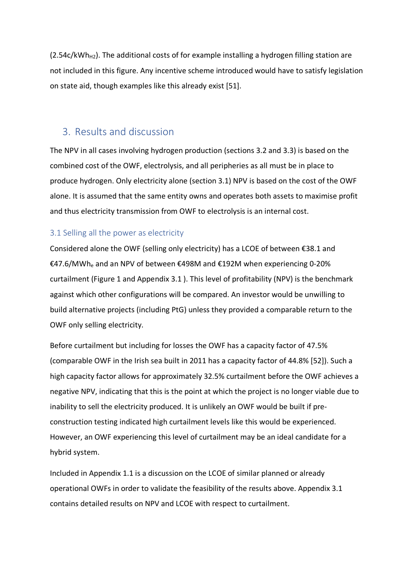$(2.54c/kWh_{H2})$ . The additional costs of for example installing a hydrogen filling station are not included in this figure. Any incentive scheme introduced would have to satisfy legislation on state aid, though examples like this already exist [51].

# 3. Results and discussion

The NPV in all cases involving hydrogen production (sections 3.2 and 3.3) is based on the combined cost of the OWF, electrolysis, and all peripheries as all must be in place to produce hydrogen. Only electricity alone (section 3.1) NPV is based on the cost of the OWF alone. It is assumed that the same entity owns and operates both assets to maximise profit and thus electricity transmission from OWF to electrolysis is an internal cost.

### 3.1 Selling all the power as electricity

Considered alone the OWF (selling only electricity) has a LCOE of between €38.1 and €47.6/MWhe and an NPV of between €498M and €192M when experiencing 0-20% curtailment (Figure 1 and Appendix 3.1 ). This level of profitability (NPV) is the benchmark against which other configurations will be compared. An investor would be unwilling to build alternative projects (including PtG) unless they provided a comparable return to the OWF only selling electricity.

Before curtailment but including for losses the OWF has a capacity factor of 47.5% (comparable OWF in the Irish sea built in 2011 has a capacity factor of 44.8% [52]). Such a high capacity factor allows for approximately 32.5% curtailment before the OWF achieves a negative NPV, indicating that this is the point at which the project is no longer viable due to inability to sell the electricity produced. It is unlikely an OWF would be built if preconstruction testing indicated high curtailment levels like this would be experienced. However, an OWF experiencing this level of curtailment may be an ideal candidate for a hybrid system.

Included in Appendix 1.1 is a discussion on the LCOE of similar planned or already operational OWFs in order to validate the feasibility of the results above. Appendix 3.1 contains detailed results on NPV and LCOE with respect to curtailment.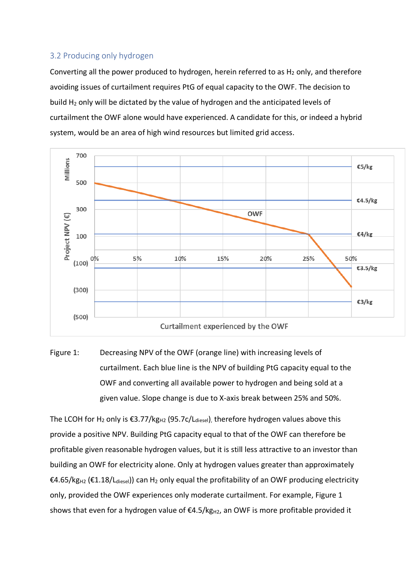### 3.2 Producing only hydrogen

Converting all the power produced to hydrogen, herein referred to as  $H_2$  only, and therefore avoiding issues of curtailment requires PtG of equal capacity to the OWF. The decision to build H<sub>2</sub> only will be dictated by the value of hydrogen and the anticipated levels of curtailment the OWF alone would have experienced. A candidate for this, or indeed a hybrid system, would be an area of high wind resources but limited grid access.



# Figure 1: Decreasing NPV of the OWF (orange line) with increasing levels of curtailment. Each blue line is the NPV of building PtG capacity equal to the OWF and converting all available power to hydrogen and being sold at a given value. Slope change is due to X-axis break between 25% and 50%.

The LCOH for H<sub>2</sub> only is  $\epsilon$ 3.77/kg<sub>H2</sub> (95.7c/L<sub>diesel</sub>), therefore hydrogen values above this provide a positive NPV. Building PtG capacity equal to that of the OWF can therefore be profitable given reasonable hydrogen values, but it is still less attractive to an investor than building an OWF for electricity alone. Only at hydrogen values greater than approximately €4.65/kg<sub>H2</sub> (€1.18/L<sub>diesel</sub>)) can H<sub>2</sub> only equal the profitability of an OWF producing electricity only, provided the OWF experiences only moderate curtailment. For example, Figure 1 shows that even for a hydrogen value of  $\epsilon$ 4.5/kg<sub>H2</sub>, an OWF is more profitable provided it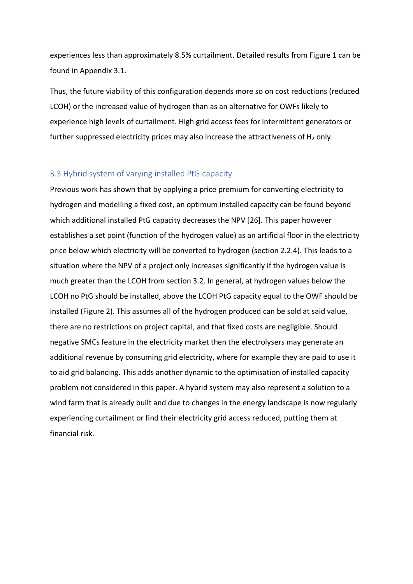experiences less than approximately 8.5% curtailment. Detailed results from Figure 1 can be found in Appendix 3.1.

Thus, the future viability of this configuration depends more so on cost reductions (reduced LCOH) or the increased value of hydrogen than as an alternative for OWFs likely to experience high levels of curtailment. High grid access fees for intermittent generators or further suppressed electricity prices may also increase the attractiveness of  $H_2$  only.

### 3.3 Hybrid system of varying installed PtG capacity

Previous work has shown that by applying a price premium for converting electricity to hydrogen and modelling a fixed cost, an optimum installed capacity can be found beyond which additional installed PtG capacity decreases the NPV [26]. This paper however establishes a set point (function of the hydrogen value) as an artificial floor in the electricity price below which electricity will be converted to hydrogen (section 2.2.4). This leads to a situation where the NPV of a project only increases significantly if the hydrogen value is much greater than the LCOH from section 3.2. In general, at hydrogen values below the LCOH no PtG should be installed, above the LCOH PtG capacity equal to the OWF should be installed (Figure 2). This assumes all of the hydrogen produced can be sold at said value, there are no restrictions on project capital, and that fixed costs are negligible. Should negative SMCs feature in the electricity market then the electrolysers may generate an additional revenue by consuming grid electricity, where for example they are paid to use it to aid grid balancing. This adds another dynamic to the optimisation of installed capacity problem not considered in this paper. A hybrid system may also represent a solution to a wind farm that is already built and due to changes in the energy landscape is now regularly experiencing curtailment or find their electricity grid access reduced, putting them at financial risk.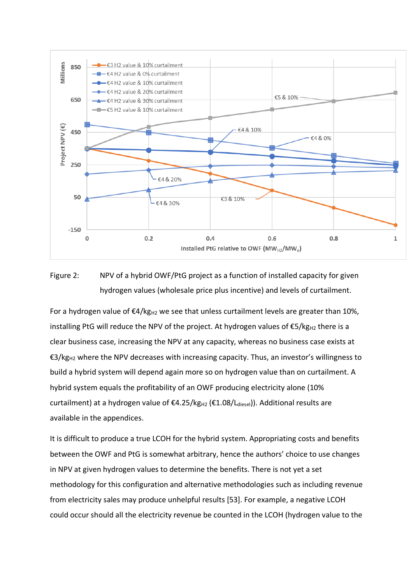

# Figure 2: NPV of a hybrid OWF/PtG project as a function of installed capacity for given hydrogen values (wholesale price plus incentive) and levels of curtailment.

For a hydrogen value of  $\epsilon$ 4/kg<sub>H2</sub> we see that unless curtailment levels are greater than 10%, installing PtG will reduce the NPV of the project. At hydrogen values of  $€5/kg_{H2}$  there is a clear business case, increasing the NPV at any capacity, whereas no business case exists at €3/kg<sub>H2</sub> where the NPV decreases with increasing capacity. Thus, an investor's willingness to build a hybrid system will depend again more so on hydrogen value than on curtailment. A hybrid system equals the profitability of an OWF producing electricity alone (10% curtailment) at a hydrogen value of  $\epsilon$ 4.25/kg<sub>H2</sub> ( $\epsilon$ 1.08/L<sub>diesel</sub>)). Additional results are available in the appendices.

It is difficult to produce a true LCOH for the hybrid system. Appropriating costs and benefits between the OWF and PtG is somewhat arbitrary, hence the authors' choice to use changes in NPV at given hydrogen values to determine the benefits. There is not yet a set methodology for this configuration and alternative methodologies such as including revenue from electricity sales may produce unhelpful results [53]. For example, a negative LCOH could occur should all the electricity revenue be counted in the LCOH (hydrogen value to the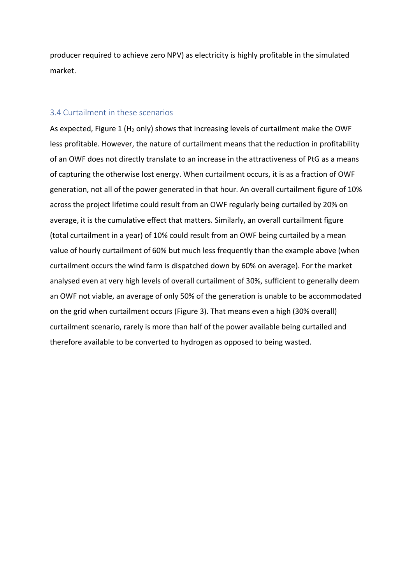producer required to achieve zero NPV) as electricity is highly profitable in the simulated market.

#### 3.4 Curtailment in these scenarios

As expected, Figure 1 (H<sub>2</sub> only) shows that increasing levels of curtailment make the OWF less profitable. However, the nature of curtailment means that the reduction in profitability of an OWF does not directly translate to an increase in the attractiveness of PtG as a means of capturing the otherwise lost energy. When curtailment occurs, it is as a fraction of OWF generation, not all of the power generated in that hour. An overall curtailment figure of 10% across the project lifetime could result from an OWF regularly being curtailed by 20% on average, it is the cumulative effect that matters. Similarly, an overall curtailment figure (total curtailment in a year) of 10% could result from an OWF being curtailed by a mean value of hourly curtailment of 60% but much less frequently than the example above (when curtailment occurs the wind farm is dispatched down by 60% on average). For the market analysed even at very high levels of overall curtailment of 30%, sufficient to generally deem an OWF not viable, an average of only 50% of the generation is unable to be accommodated on the grid when curtailment occurs (Figure 3). That means even a high (30% overall) curtailment scenario, rarely is more than half of the power available being curtailed and therefore available to be converted to hydrogen as opposed to being wasted.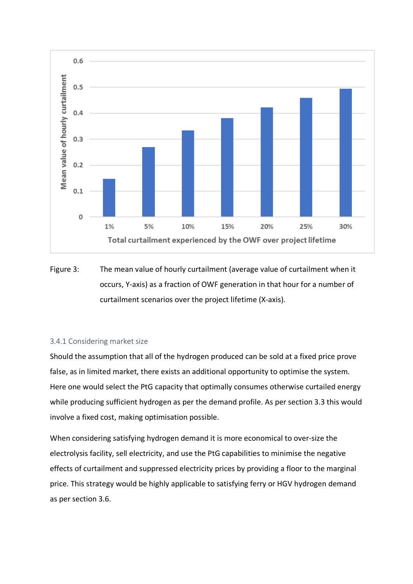

Figure 3: The mean value of hourly curtailment (average value of curtailment when it occurs, Y-axis) as a fraction of OWF generation in that hour for a number of curtailment scenarios over the project lifetime (X-axis).

#### 3.4.1 Considering market size

Should the assumption that all of the hydrogen produced can be sold at a fixed price prove false, as in limited market, there exists an additional opportunity to optimise the system. Here one would select the PtG capacity that optimally consumes otherwise curtailed energy while producing sufficient hydrogen as per the demand profile. As per section 3.3 this would involve a fixed cost, making optimisation possible.

When considering satisfying hydrogen demand it is more economical to over-size the electrolysis facility, sell electricity, and use the PtG capabilities to minimise the negative effects of curtailment and suppressed electricity prices by providing a floor to the marginal price. This strategy would be highly applicable to satisfying ferry or HGV hydrogen demand as per section 3.6.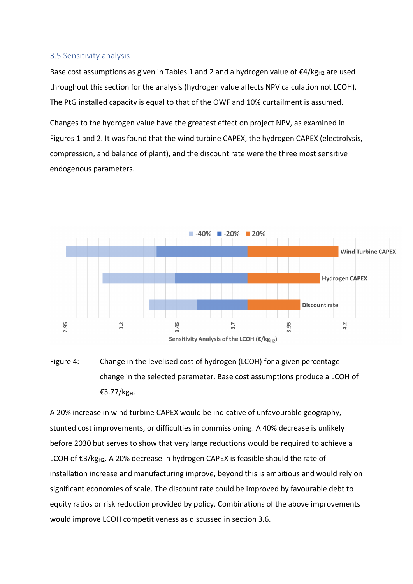### 3.5 Sensitivity analysis

Base cost assumptions as given in Tables 1 and 2 and a hydrogen value of  $\epsilon$ 4/kg<sub>H2</sub> are used throughout this section for the analysis (hydrogen value affects NPV calculation not LCOH). The PtG installed capacity is equal to that of the OWF and 10% curtailment is assumed.

Changes to the hydrogen value have the greatest effect on project NPV, as examined in Figures 1 and 2. It was found that the wind turbine CAPEX, the hydrogen CAPEX (electrolysis, compression, and balance of plant), and the discount rate were the three most sensitive endogenous parameters.



Figure 4: Change in the levelised cost of hydrogen (LCOH) for a given percentage change in the selected parameter. Base cost assumptions produce a LCOH of €3.77/kg $H_2$ .

A 20% increase in wind turbine CAPEX would be indicative of unfavourable geography, stunted cost improvements, or difficulties in commissioning. A 40% decrease is unlikely before 2030 but serves to show that very large reductions would be required to achieve a LCOH of €3/kg $H_2$ . A 20% decrease in hydrogen CAPEX is feasible should the rate of installation increase and manufacturing improve, beyond this is ambitious and would rely on significant economies of scale. The discount rate could be improved by favourable debt to equity ratios or risk reduction provided by policy. Combinations of the above improvements would improve LCOH competitiveness as discussed in section 3.6.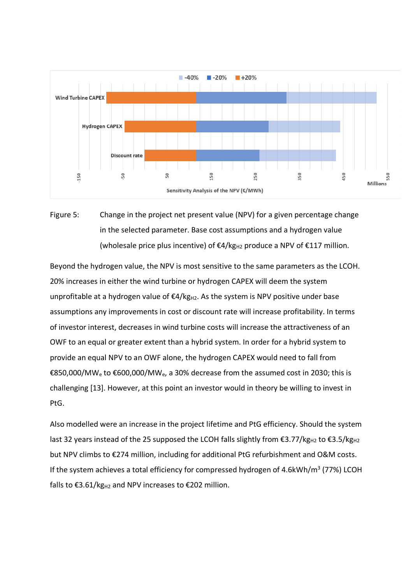

Figure 5: Change in the project net present value (NPV) for a given percentage change in the selected parameter. Base cost assumptions and a hydrogen value (wholesale price plus incentive) of  $€4/kg_{H2}$  produce a NPV of  $€117$  million.

Beyond the hydrogen value, the NPV is most sensitive to the same parameters as the LCOH. 20% increases in either the wind turbine or hydrogen CAPEX will deem the system unprofitable at a hydrogen value of  $\epsilon$ 4/kg<sub>H2</sub>. As the system is NPV positive under base assumptions any improvements in cost or discount rate will increase profitability. In terms of investor interest, decreases in wind turbine costs will increase the attractiveness of an OWF to an equal or greater extent than a hybrid system. In order for a hybrid system to provide an equal NPV to an OWF alone, the hydrogen CAPEX would need to fall from €850,000/MW<sub>e</sub> to €600,000/MW<sub>e</sub>, a 30% decrease from the assumed cost in 2030; this is challenging [13]. However, at this point an investor would in theory be willing to invest in PtG.

Also modelled were an increase in the project lifetime and PtG efficiency. Should the system last 32 years instead of the 25 supposed the LCOH falls slightly from €3.77/kg<sub>H2</sub> to €3.5/kg<sub>H2</sub> but NPV climbs to €274 million, including for additional PtG refurbishment and O&M costs. If the system achieves a total efficiency for compressed hydrogen of  $4.6$ kWh/m<sup>3</sup> (77%) LCOH falls to  $\epsilon$ 3.61/kg<sub>H2</sub> and NPV increases to  $\epsilon$ 202 million.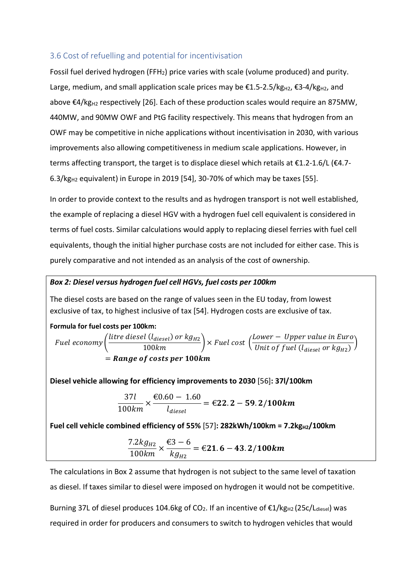### 3.6 Cost of refuelling and potential for incentivisation

Fossil fuel derived hydrogen (FFH<sub>2</sub>) price varies with scale (volume produced) and purity. Large, medium, and small application scale prices may be  $\epsilon$ 1.5-2.5/kg<sub>H2</sub>,  $\epsilon$ 3-4/kg<sub>H2</sub>, and above  $\epsilon$ 4/kg<sub>H2</sub> respectively [26]. Each of these production scales would require an 875MW, 440MW, and 90MW OWF and PtG facility respectively. This means that hydrogen from an OWF may be competitive in niche applications without incentivisation in 2030, with various improvements also allowing competitiveness in medium scale applications. However, in terms affecting transport, the target is to displace diesel which retails at €1.2-1.6/L (€4.7-  $6.3$ /kg<sub>H2</sub> equivalent) in Europe in 2019 [54], 30-70% of which may be taxes [55].

In order to provide context to the results and as hydrogen transport is not well established, the example of replacing a diesel HGV with a hydrogen fuel cell equivalent is considered in terms of fuel costs. Similar calculations would apply to replacing diesel ferries with fuel cell equivalents, though the initial higher purchase costs are not included for either case. This is purely comparative and not intended as an analysis of the cost of ownership.

### *Box 2: Diesel versus hydrogen fuel cell HGVs, fuel costs per 100km*

The diesel costs are based on the range of values seen in the EU today, from lowest exclusive of tax, to highest inclusive of tax [54]. Hydrogen costs are exclusive of tax.

**Formula for fuel costs per 100k** 

Fuel economy  $\left(\frac{litre\;diesel\; (l_{diesel})\;or\;kg_{H2}}{100km}\right)\times Fuel\;cost\;\right)$ Lower − Upper value in E Unit of fuel  $(l_{\text{diesel}} \, \text{or} \, \text{kg}_{\text{H2}})$  $=$  Range of costs per 100km

**Diesel vehicle allowing for efficiency improvements to 2030** [56]**: 37l/100km**

$$
\frac{37l}{100km} \times \frac{\text{\textsterling}0.60 - 1.60}{l_{\text{diesel}}} = \text{\textsterling}22.2 - 59.2/100km
$$

**Fuel cell vehicle combined efficiency of 55%** [57]: 282kWh/100km = 7.2kg<sub>H2</sub>/100km

$$
\frac{7.2kg_{H2}}{100km} \times \frac{\text{\textsterling}3 - 6}{kg_{H2}} = \text{\textsterling}21.6 - 43.2/100km
$$

The calculations in Box 2 assume that hydrogen is not subject to the same level of taxation as diesel. If taxes similar to diesel were imposed on hydrogen it would not be competitive.

Burning 37L of diesel produces 104.6kg of CO<sub>2</sub>. If an incentive of  $\epsilon$ 1/kg<sub>H2</sub> (25c/L<sub>diesel</sub>) was required in order for producers and consumers to switch to hydrogen vehicles that would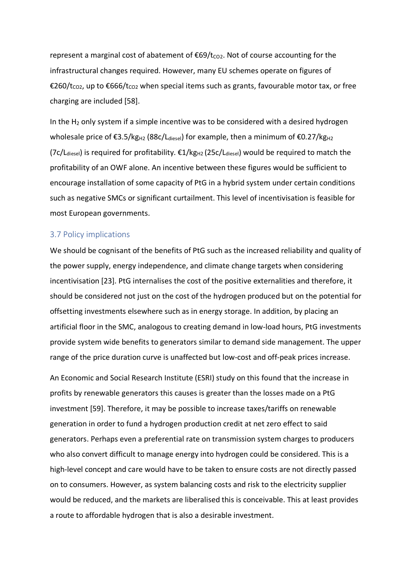represent a marginal cost of abatement of  $\epsilon$ 69/t $_{CO2}$ . Not of course accounting for the infrastructural changes required. However, many EU schemes operate on figures of €260/t<sub>co2</sub>, up to €666/t<sub>co2</sub> when special items such as grants, favourable motor tax, or free charging are included [58].

In the  $H_2$  only system if a simple incentive was to be considered with a desired hydrogen wholesale price of €3.5/kg<sub>H2</sub> (88c/L<sub>diesel</sub>) for example, then a minimum of €0.27/kg<sub>H2</sub>  $(7c/L_{\text{diesel}})$  is required for profitability.  $\epsilon_1/kg_{H2}$  (25c/L<sub>diesel</sub>) would be required to match the profitability of an OWF alone. An incentive between these figures would be sufficient to encourage installation of some capacity of PtG in a hybrid system under certain conditions such as negative SMCs or significant curtailment. This level of incentivisation is feasible for most European governments.

#### 3.7 Policy implications

We should be cognisant of the benefits of PtG such as the increased reliability and quality of the power supply, energy independence, and climate change targets when considering incentivisation [23]. PtG internalises the cost of the positive externalities and therefore, it should be considered not just on the cost of the hydrogen produced but on the potential for offsetting investments elsewhere such as in energy storage. In addition, by placing an artificial floor in the SMC, analogous to creating demand in low-load hours, PtG investments provide system wide benefits to generators similar to demand side management. The upper range of the price duration curve is unaffected but low-cost and off-peak prices increase.

An Economic and Social Research Institute (ESRI) study on this found that the increase in profits by renewable generators this causes is greater than the losses made on a PtG investment [59]. Therefore, it may be possible to increase taxes/tariffs on renewable generation in order to fund a hydrogen production credit at net zero effect to said generators. Perhaps even a preferential rate on transmission system charges to producers who also convert difficult to manage energy into hydrogen could be considered. This is a high-level concept and care would have to be taken to ensure costs are not directly passed on to consumers. However, as system balancing costs and risk to the electricity supplier would be reduced, and the markets are liberalised this is conceivable. This at least provides a route to affordable hydrogen that is also a desirable investment.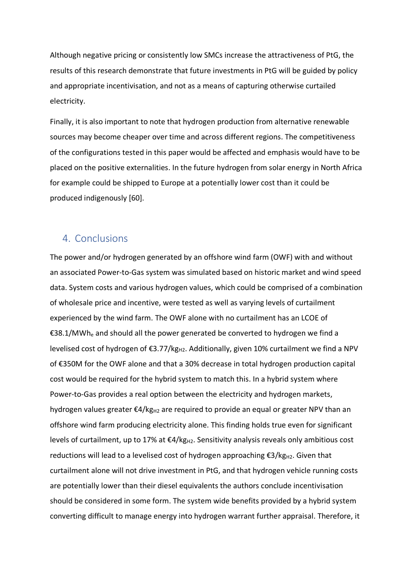Although negative pricing or consistently low SMCs increase the attractiveness of PtG, the results of this research demonstrate that future investments in PtG will be guided by policy and appropriate incentivisation, and not as a means of capturing otherwise curtailed electricity.

Finally, it is also important to note that hydrogen production from alternative renewable sources may become cheaper over time and across different regions. The competitiveness of the configurations tested in this paper would be affected and emphasis would have to be placed on the positive externalities. In the future hydrogen from solar energy in North Africa for example could be shipped to Europe at a potentially lower cost than it could be produced indigenously [60].

# 4. Conclusions

The power and/or hydrogen generated by an offshore wind farm (OWF) with and without an associated Power-to-Gas system was simulated based on historic market and wind speed data. System costs and various hydrogen values, which could be comprised of a combination of wholesale price and incentive, were tested as well as varying levels of curtailment experienced by the wind farm. The OWF alone with no curtailment has an LCOE of €38.1/MWhe and should all the power generated be converted to hydrogen we find a levelised cost of hydrogen of  $\epsilon$ 3.77/kg<sub>H2</sub>. Additionally, given 10% curtailment we find a NPV of €350M for the OWF alone and that a 30% decrease in total hydrogen production capital cost would be required for the hybrid system to match this. In a hybrid system where Power-to-Gas provides a real option between the electricity and hydrogen markets, hydrogen values greater  $\epsilon$ 4/kg<sub>H2</sub> are required to provide an equal or greater NPV than an offshore wind farm producing electricity alone. This finding holds true even for significant levels of curtailment, up to 17% at  $\epsilon$ 4/kg<sub>H2</sub>. Sensitivity analysis reveals only ambitious cost reductions will lead to a levelised cost of hydrogen approaching  $\epsilon$ 3/kg<sub>H2</sub>. Given that curtailment alone will not drive investment in PtG, and that hydrogen vehicle running costs are potentially lower than their diesel equivalents the authors conclude incentivisation should be considered in some form. The system wide benefits provided by a hybrid system converting difficult to manage energy into hydrogen warrant further appraisal. Therefore, it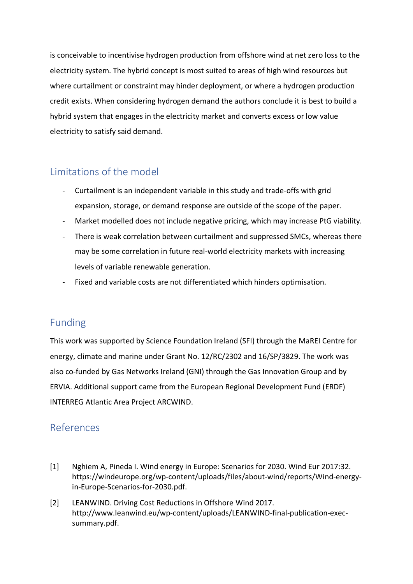is conceivable to incentivise hydrogen production from offshore wind at net zero loss to the electricity system. The hybrid concept is most suited to areas of high wind resources but where curtailment or constraint may hinder deployment, or where a hydrogen production credit exists. When considering hydrogen demand the authors conclude it is best to build a hybrid system that engages in the electricity market and converts excess or low value electricity to satisfy said demand.

# Limitations of the model

- Curtailment is an independent variable in this study and trade-offs with grid expansion, storage, or demand response are outside of the scope of the paper.
- Market modelled does not include negative pricing, which may increase PtG viability.
- There is weak correlation between curtailment and suppressed SMCs, whereas there may be some correlation in future real-world electricity markets with increasing levels of variable renewable generation.
- Fixed and variable costs are not differentiated which hinders optimisation.

# Funding

This work was supported by Science Foundation Ireland (SFI) through the MaREI Centre for energy, climate and marine under Grant No. 12/RC/2302 and 16/SP/3829. The work was also co-funded by Gas Networks Ireland (GNI) through the Gas Innovation Group and by ERVIA. Additional support came from the European Regional Development Fund (ERDF) INTERREG Atlantic Area Project ARCWIND.

# References

- [1] Nghiem A, Pineda I. Wind energy in Europe: Scenarios for 2030. Wind Eur 2017:32. https://windeurope.org/wp-content/uploads/files/about-wind/reports/Wind-energyin-Europe-Scenarios-for-2030.pdf.
- [2] LEANWIND. Driving Cost Reductions in Offshore Wind 2017. http://www.leanwind.eu/wp-content/uploads/LEANWIND-final-publication-execsummary.pdf.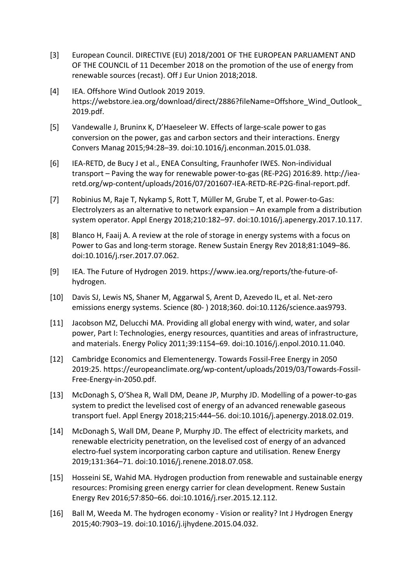- [3] European Council. DIRECTIVE (EU) 2018/2001 OF THE EUROPEAN PARLIAMENT AND OF THE COUNCIL of 11 December 2018 on the promotion of the use of energy from renewable sources (recast). Off J Eur Union 2018;2018.
- [4] IEA. Offshore Wind Outlook 2019 2019. https://webstore.iea.org/download/direct/2886?fileName=Offshore\_Wind\_Outlook\_ 2019.pdf.
- [5] Vandewalle J, Bruninx K, D'Haeseleer W. Effects of large-scale power to gas conversion on the power, gas and carbon sectors and their interactions. Energy Convers Manag 2015;94:28–39. doi:10.1016/j.enconman.2015.01.038.
- [6] IEA-RETD, de Bucy J et al., ENEA Consulting, Fraunhofer IWES. Non-individual transport – Paving the way for renewable power-to-gas (RE-P2G) 2016:89. http://iearetd.org/wp-content/uploads/2016/07/201607-IEA-RETD-RE-P2G-final-report.pdf.
- [7] Robinius M, Raje T, Nykamp S, Rott T, Müller M, Grube T, et al. Power-to-Gas: Electrolyzers as an alternative to network expansion – An example from a distribution system operator. Appl Energy 2018;210:182–97. doi:10.1016/j.apenergy.2017.10.117.
- [8] Blanco H, Faaij A. A review at the role of storage in energy systems with a focus on Power to Gas and long-term storage. Renew Sustain Energy Rev 2018;81:1049–86. doi:10.1016/j.rser.2017.07.062.
- [9] IEA. The Future of Hydrogen 2019. https://www.iea.org/reports/the-future-ofhydrogen.
- [10] Davis SJ, Lewis NS, Shaner M, Aggarwal S, Arent D, Azevedo IL, et al. Net-zero emissions energy systems. Science (80- ) 2018;360. doi:10.1126/science.aas9793.
- [11] Jacobson MZ, Delucchi MA. Providing all global energy with wind, water, and solar power, Part I: Technologies, energy resources, quantities and areas of infrastructure, and materials. Energy Policy 2011;39:1154–69. doi:10.1016/j.enpol.2010.11.040.
- [12] Cambridge Economics and Elementenergy. Towards Fossil-Free Energy in 2050 2019:25. https://europeanclimate.org/wp-content/uploads/2019/03/Towards-Fossil-Free-Energy-in-2050.pdf.
- [13] McDonagh S, O'Shea R, Wall DM, Deane JP, Murphy JD. Modelling of a power-to-gas system to predict the levelised cost of energy of an advanced renewable gaseous transport fuel. Appl Energy 2018;215:444–56. doi:10.1016/j.apenergy.2018.02.019.
- [14] McDonagh S, Wall DM, Deane P, Murphy JD. The effect of electricity markets, and renewable electricity penetration, on the levelised cost of energy of an advanced electro-fuel system incorporating carbon capture and utilisation. Renew Energy 2019;131:364–71. doi:10.1016/j.renene.2018.07.058.
- [15] Hosseini SE, Wahid MA. Hydrogen production from renewable and sustainable energy resources: Promising green energy carrier for clean development. Renew Sustain Energy Rev 2016;57:850–66. doi:10.1016/j.rser.2015.12.112.
- [16] Ball M, Weeda M. The hydrogen economy Vision or reality? Int J Hydrogen Energy 2015;40:7903–19. doi:10.1016/j.ijhydene.2015.04.032.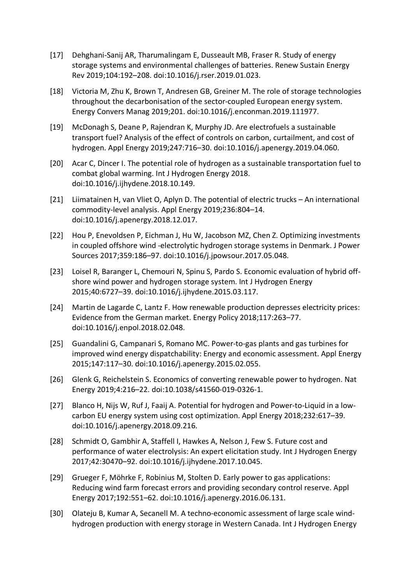- [17] Dehghani-Sanij AR, Tharumalingam E, Dusseault MB, Fraser R. Study of energy storage systems and environmental challenges of batteries. Renew Sustain Energy Rev 2019;104:192–208. doi:10.1016/j.rser.2019.01.023.
- [18] Victoria M, Zhu K, Brown T, Andresen GB, Greiner M. The role of storage technologies throughout the decarbonisation of the sector-coupled European energy system. Energy Convers Manag 2019;201. doi:10.1016/j.enconman.2019.111977.
- [19] McDonagh S, Deane P, Rajendran K, Murphy JD. Are electrofuels a sustainable transport fuel? Analysis of the effect of controls on carbon, curtailment, and cost of hydrogen. Appl Energy 2019;247:716–30. doi:10.1016/j.apenergy.2019.04.060.
- [20] Acar C, Dincer I. The potential role of hydrogen as a sustainable transportation fuel to combat global warming. Int J Hydrogen Energy 2018. doi:10.1016/j.ijhydene.2018.10.149.
- [21] Liimatainen H, van Vliet O, Aplyn D. The potential of electric trucks An international commodity-level analysis. Appl Energy 2019;236:804–14. doi:10.1016/j.apenergy.2018.12.017.
- [22] Hou P, Enevoldsen P, Eichman J, Hu W, Jacobson MZ, Chen Z. Optimizing investments in coupled offshore wind -electrolytic hydrogen storage systems in Denmark. J Power Sources 2017;359:186–97. doi:10.1016/j.jpowsour.2017.05.048.
- [23] Loisel R, Baranger L, Chemouri N, Spinu S, Pardo S. Economic evaluation of hybrid offshore wind power and hydrogen storage system. Int J Hydrogen Energy 2015;40:6727–39. doi:10.1016/j.ijhydene.2015.03.117.
- [24] Martin de Lagarde C, Lantz F. How renewable production depresses electricity prices: Evidence from the German market. Energy Policy 2018;117:263–77. doi:10.1016/j.enpol.2018.02.048.
- [25] Guandalini G, Campanari S, Romano MC. Power-to-gas plants and gas turbines for improved wind energy dispatchability: Energy and economic assessment. Appl Energy 2015;147:117–30. doi:10.1016/j.apenergy.2015.02.055.
- [26] Glenk G, Reichelstein S. Economics of converting renewable power to hydrogen. Nat Energy 2019;4:216–22. doi:10.1038/s41560-019-0326-1.
- [27] Blanco H, Nijs W, Ruf J, Faaij A. Potential for hydrogen and Power-to-Liquid in a lowcarbon EU energy system using cost optimization. Appl Energy 2018;232:617–39. doi:10.1016/j.apenergy.2018.09.216.
- [28] Schmidt O, Gambhir A, Staffell I, Hawkes A, Nelson J, Few S. Future cost and performance of water electrolysis: An expert elicitation study. Int J Hydrogen Energy 2017;42:30470–92. doi:10.1016/j.ijhydene.2017.10.045.
- [29] Grueger F, Möhrke F, Robinius M, Stolten D. Early power to gas applications: Reducing wind farm forecast errors and providing secondary control reserve. Appl Energy 2017;192:551–62. doi:10.1016/j.apenergy.2016.06.131.
- [30] Olateju B, Kumar A, Secanell M. A techno-economic assessment of large scale windhydrogen production with energy storage in Western Canada. Int J Hydrogen Energy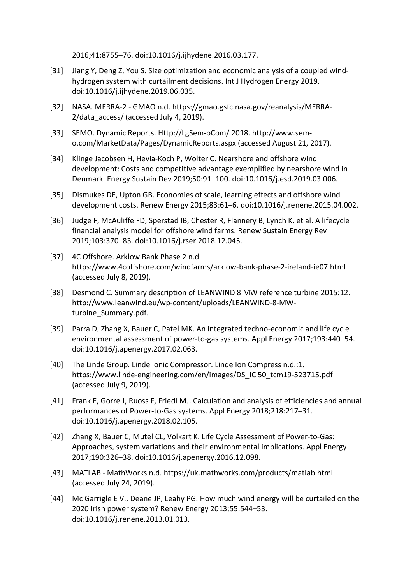2016;41:8755–76. doi:10.1016/j.ijhydene.2016.03.177.

- [31] Jiang Y, Deng Z, You S. Size optimization and economic analysis of a coupled windhydrogen system with curtailment decisions. Int J Hydrogen Energy 2019. doi:10.1016/j.ijhydene.2019.06.035.
- [32] NASA. MERRA-2 GMAO n.d. https://gmao.gsfc.nasa.gov/reanalysis/MERRA-2/data\_access/ (accessed July 4, 2019).
- [33] SEMO. Dynamic Reports. Http://LgSem-oCom/ 2018. http://www.semo.com/MarketData/Pages/DynamicReports.aspx (accessed August 21, 2017).
- [34] Klinge Jacobsen H, Hevia-Koch P, Wolter C. Nearshore and offshore wind development: Costs and competitive advantage exemplified by nearshore wind in Denmark. Energy Sustain Dev 2019;50:91–100. doi:10.1016/j.esd.2019.03.006.
- [35] Dismukes DE, Upton GB. Economies of scale, learning effects and offshore wind development costs. Renew Energy 2015;83:61–6. doi:10.1016/j.renene.2015.04.002.
- [36] Judge F, McAuliffe FD, Sperstad IB, Chester R, Flannery B, Lynch K, et al. A lifecycle financial analysis model for offshore wind farms. Renew Sustain Energy Rev 2019;103:370–83. doi:10.1016/j.rser.2018.12.045.
- [37] 4C Offshore. Arklow Bank Phase 2 n.d. https://www.4coffshore.com/windfarms/arklow-bank-phase-2-ireland-ie07.html (accessed July 8, 2019).
- [38] Desmond C. Summary description of LEANWIND 8 MW reference turbine 2015:12. http://www.leanwind.eu/wp-content/uploads/LEANWIND-8-MWturbine\_Summary.pdf.
- [39] Parra D, Zhang X, Bauer C, Patel MK. An integrated techno-economic and life cycle environmental assessment of power-to-gas systems. Appl Energy 2017;193:440–54. doi:10.1016/j.apenergy.2017.02.063.
- [40] The Linde Group. Linde Ionic Compressor. Linde Ion Compress n.d.:1. https://www.linde-engineering.com/en/images/DS\_IC 50\_tcm19-523715.pdf (accessed July 9, 2019).
- [41] Frank E, Gorre J, Ruoss F, Friedl MJ. Calculation and analysis of efficiencies and annual performances of Power-to-Gas systems. Appl Energy 2018;218:217–31. doi:10.1016/j.apenergy.2018.02.105.
- [42] Zhang X, Bauer C, Mutel CL, Volkart K. Life Cycle Assessment of Power-to-Gas: Approaches, system variations and their environmental implications. Appl Energy 2017;190:326–38. doi:10.1016/j.apenergy.2016.12.098.
- [43] MATLAB MathWorks n.d. https://uk.mathworks.com/products/matlab.html (accessed July 24, 2019).
- [44] Mc Garrigle E V., Deane JP, Leahy PG. How much wind energy will be curtailed on the 2020 Irish power system? Renew Energy 2013;55:544–53. doi:10.1016/j.renene.2013.01.013.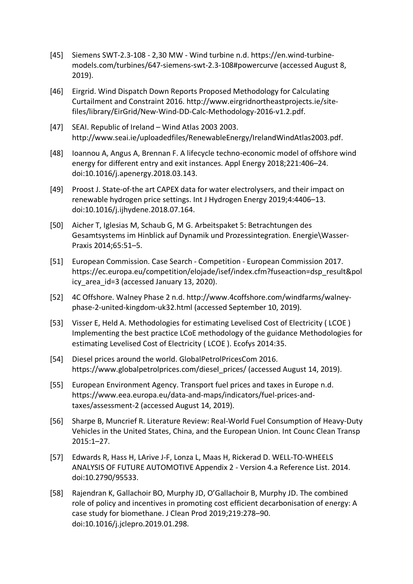- [45] Siemens SWT-2.3-108 2,30 MW Wind turbine n.d. https://en.wind-turbinemodels.com/turbines/647-siemens-swt-2.3-108#powercurve (accessed August 8, 2019).
- [46] Eirgrid. Wind Dispatch Down Reports Proposed Methodology for Calculating Curtailment and Constraint 2016. http://www.eirgridnortheastprojects.ie/sitefiles/library/EirGrid/New-Wind-DD-Calc-Methodology-2016-v1.2.pdf.
- [47] SEAI. Republic of Ireland Wind Atlas 2003 2003. http://www.seai.ie/uploadedfiles/RenewableEnergy/IrelandWindAtlas2003.pdf.
- [48] Ioannou A, Angus A, Brennan F. A lifecycle techno-economic model of offshore wind energy for different entry and exit instances. Appl Energy 2018;221:406–24. doi:10.1016/j.apenergy.2018.03.143.
- [49] Proost J. State-of-the art CAPEX data for water electrolysers, and their impact on renewable hydrogen price settings. Int J Hydrogen Energy 2019;4:4406–13. doi:10.1016/j.ijhydene.2018.07.164.
- [50] Aicher T, Iglesias M, Schaub G, M G. Arbeitspaket 5: Betrachtungen des Gesamtsystems im Hinblick auf Dynamik und Prozessintegration. Energie\Wasser-Praxis 2014;65:51–5.
- [51] European Commission. Case Search Competition European Commission 2017. https://ec.europa.eu/competition/elojade/isef/index.cfm?fuseaction=dsp\_result&pol icy area id=3 (accessed January 13, 2020).
- [52] 4C Offshore. Walney Phase 2 n.d. http://www.4coffshore.com/windfarms/walneyphase-2-united-kingdom-uk32.html (accessed September 10, 2019).
- [53] Visser E, Held A. Methodologies for estimating Levelised Cost of Electricity ( LCOE ) Implementing the best practice LCoE methodology of the guidance Methodologies for estimating Levelised Cost of Electricity ( LCOE ). Ecofys 2014:35.
- [54] Diesel prices around the world. GlobalPetrolPricesCom 2016. https://www.globalpetrolprices.com/diesel\_prices/ (accessed August 14, 2019).
- [55] European Environment Agency. Transport fuel prices and taxes in Europe n.d. https://www.eea.europa.eu/data-and-maps/indicators/fuel-prices-andtaxes/assessment-2 (accessed August 14, 2019).
- [56] Sharpe B, Muncrief R. Literature Review: Real-World Fuel Consumption of Heavy-Duty Vehicles in the United States, China, and the European Union. Int Counc Clean Transp 2015:1–27.
- [57] Edwards R, Hass H, LArive J-F, Lonza L, Maas H, Rickerad D. WELL-TO-WHEELS ANALYSIS OF FUTURE AUTOMOTIVE Appendix 2 - Version 4.a Reference List. 2014. doi:10.2790/95533.
- [58] Rajendran K, Gallachoir BO, Murphy JD, O'Gallachoir B, Murphy JD. The combined role of policy and incentives in promoting cost efficient decarbonisation of energy: A case study for biomethane. J Clean Prod 2019;219:278–90. doi:10.1016/j.jclepro.2019.01.298.